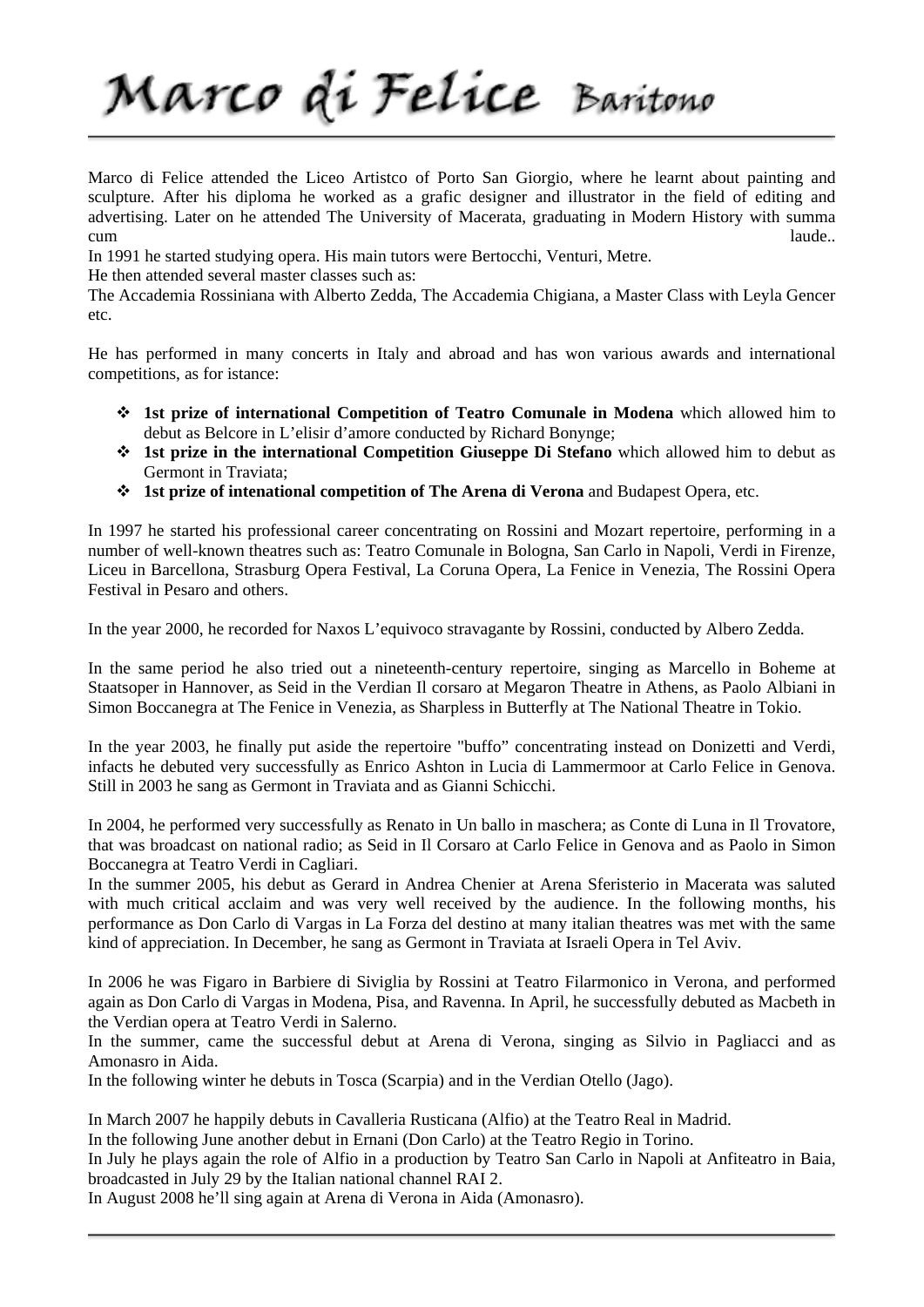Marco di Felice Baritono

Marco di Felice attended the Liceo Artistco of Porto San Giorgio, where he learnt about painting and sculpture. After his diploma he worked as a grafic designer and illustrator in the field of editing and advertising. Later on he attended The University of Macerata, graduating in Modern History with summa cum laude...

In 1991 he started studying opera. His main tutors were Bertocchi, Venturi, Metre.

He then attended several master classes such as:

The Accademia Rossiniana with Alberto Zedda, The Accademia Chigiana, a Master Class with Leyla Gencer etc.

He has performed in many concerts in Italy and abroad and has won various awards and international competitions, as for istance:

- **1st prize of international Competition of Teatro Comunale in Modena** which allowed him to debut as Belcore in L'elisir d'amore conducted by Richard Bonynge;
- **1st prize in the international Competition Giuseppe Di Stefano** which allowed him to debut as Germont in Traviata;
- **1st prize of intenational competition of The Arena di Verona** and Budapest Opera, etc.

In 1997 he started his professional career concentrating on Rossini and Mozart repertoire, performing in a number of well-known theatres such as: Teatro Comunale in Bologna, San Carlo in Napoli, Verdi in Firenze, Liceu in Barcellona, Strasburg Opera Festival, La Coruna Opera, La Fenice in Venezia, The Rossini Opera Festival in Pesaro and others.

In the year 2000, he recorded for Naxos L'equivoco stravagante by Rossini, conducted by Albero Zedda.

In the same period he also tried out a nineteenth-century repertoire, singing as Marcello in Boheme at Staatsoper in Hannover, as Seid in the Verdian Il corsaro at Megaron Theatre in Athens, as Paolo Albiani in Simon Boccanegra at The Fenice in Venezia, as Sharpless in Butterfly at The National Theatre in Tokio.

In the year 2003, he finally put aside the repertoire "buffo" concentrating instead on Donizetti and Verdi, infacts he debuted very successfully as Enrico Ashton in Lucia di Lammermoor at Carlo Felice in Genova. Still in 2003 he sang as Germont in Traviata and as Gianni Schicchi.

In 2004, he performed very successfully as Renato in Un ballo in maschera; as Conte di Luna in Il Trovatore, that was broadcast on national radio; as Seid in Il Corsaro at Carlo Felice in Genova and as Paolo in Simon Boccanegra at Teatro Verdi in Cagliari.

In the summer 2005, his debut as Gerard in Andrea Chenier at Arena Sferisterio in Macerata was saluted with much critical acclaim and was very well received by the audience. In the following months, his performance as Don Carlo di Vargas in La Forza del destino at many italian theatres was met with the same kind of appreciation. In December, he sang as Germont in Traviata at Israeli Opera in Tel Aviv.

In 2006 he was Figaro in Barbiere di Siviglia by Rossini at Teatro Filarmonico in Verona, and performed again as Don Carlo di Vargas in Modena, Pisa, and Ravenna. In April, he successfully debuted as Macbeth in the Verdian opera at Teatro Verdi in Salerno.

In the summer, came the successful debut at Arena di Verona, singing as Silvio in Pagliacci and as Amonasro in Aida.

In the following winter he debuts in Tosca (Scarpia) and in the Verdian Otello (Jago).

In March 2007 he happily debuts in Cavalleria Rusticana (Alfio) at the Teatro Real in Madrid.

In the following June another debut in Ernani (Don Carlo) at the Teatro Regio in Torino.

In July he plays again the role of Alfio in a production by Teatro San Carlo in Napoli at Anfiteatro in Baia, broadcasted in July 29 by the Italian national channel RAI 2.

In August 2008 he'll sing again at Arena di Verona in Aida (Amonasro).